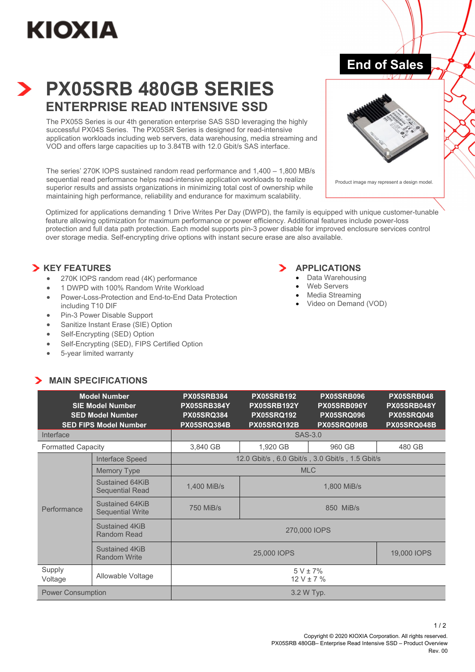# **KIOXIA**

# **PX05SRB 480GB SERIES ENTERPRISE READ INTENSIVE SSD**

The PX05S Series is our 4th generation enterprise SAS SSD leveraging the highly successful PX04S Series. The PX05SR Series is designed for read-intensive application workloads including web servers, data warehousing, media streaming and VOD and offers large capacities up to 3.84TB with 12.0 Gbit/s SAS interface.

The series' 270K IOPS sustained random read performance and 1,400 – 1,800 MB/s sequential read performance helps read-intensive application workloads to realize superior results and assists organizations in minimizing total cost of ownership while maintaining high performance, reliability and endurance for maximum scalability.



**End of Sales** 

Product image may represent a design model.

Optimized for applications demanding 1 Drive Writes Per Day (DWPD), the family is equipped with unique customer-tunable feature allowing optimization for maximum performance or power efficiency. Additional features include power-loss protection and full data path protection. Each model supports pin-3 power disable for improved enclosure services control over storage media. Self-encrypting drive options with instant secure erase are also available.

# **X** KEY FEATURES

- 270K IOPS random read (4K) performance
- 1 DWPD with 100% Random Write Workload
- Power-Loss-Protection and End-to-End Data Protection including T10 DIF
- Pin-3 Power Disable Support
- Sanitize Instant Erase (SIE) Option
- Self-Encrypting (SED) Option
- Self-Encrypting (SED), FIPS Certified Option
- 5-year limited warranty

**MAIN SPECIFICATIONS** 

# **APPLICATIONS**

- Data Warehousing
- Web Servers
- Media Streaming
- Video on Demand (VOD)

| <b>Model Number</b><br><b>SIE Model Number</b><br><b>SED Model Number</b><br><b>SED FIPS Model Number</b> |                                            | <b>PX05SRB384</b><br>PX05SRB384Y<br><b>PX05SRQ384</b><br><b>PX05SRQ384B</b> | <b>PX05SRB192</b><br>PX05SRB192Y<br><b>PX05SRQ192</b><br><b>PX05SRQ192B</b> | <b>PX05SRB096</b><br>PX05SRB096Y<br><b>PX05SRQ096</b><br>PX05SRQ096B | <b>PX05SRB048</b><br>PX05SRB048Y<br><b>PX05SRQ048</b><br>PX05SRQ048B |
|-----------------------------------------------------------------------------------------------------------|--------------------------------------------|-----------------------------------------------------------------------------|-----------------------------------------------------------------------------|----------------------------------------------------------------------|----------------------------------------------------------------------|
| Interface                                                                                                 |                                            | SAS-3.0                                                                     |                                                                             |                                                                      |                                                                      |
| <b>Formatted Capacity</b>                                                                                 |                                            | 3,840 GB                                                                    | 1,920 GB                                                                    | 960 GB                                                               | 480 GB                                                               |
| Performance                                                                                               | Interface Speed                            | 12.0 Gbit/s, 6.0 Gbit/s, 3.0 Gbit/s, 1.5 Gbit/s                             |                                                                             |                                                                      |                                                                      |
|                                                                                                           | <b>Memory Type</b>                         | <b>MLC</b>                                                                  |                                                                             |                                                                      |                                                                      |
|                                                                                                           | Sustained 64KiB<br><b>Sequential Read</b>  | 1,400 MiB/s                                                                 | 1,800 MiB/s                                                                 |                                                                      |                                                                      |
|                                                                                                           | Sustained 64KiB<br><b>Sequential Write</b> | 750 MiB/s                                                                   | 850 MiB/s                                                                   |                                                                      |                                                                      |
|                                                                                                           | Sustained 4KiB<br>Random Read              | 270,000 IOPS                                                                |                                                                             |                                                                      |                                                                      |
|                                                                                                           | Sustained 4KiB<br><b>Random Write</b>      | 25,000 IOPS                                                                 |                                                                             | 19,000 IOPS                                                          |                                                                      |
| Supply<br>Voltage                                                                                         | Allowable Voltage                          | $5 V \pm 7\%$<br>$12 V \pm 7 \%$                                            |                                                                             |                                                                      |                                                                      |
| <b>Power Consumption</b>                                                                                  |                                            | 3.2 W Typ.                                                                  |                                                                             |                                                                      |                                                                      |

#### Copyright © 2020 KIOXIA Corporation. All rights reserved. PX05SRB 480GB– Enterprise Read Intensive SSD – Product Overview Rev. 00